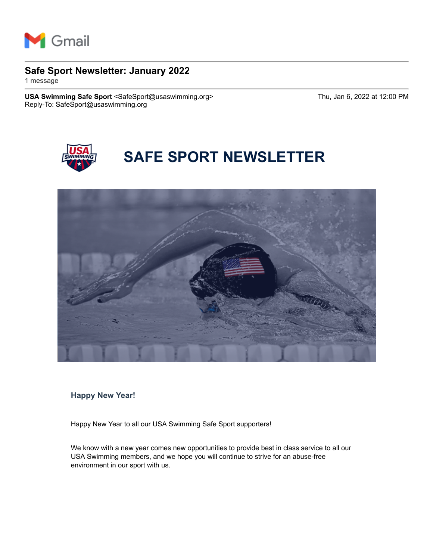

## **Safe Sport Newsletter: January 2022**

1 message

**USA Swimming Safe Sport** <SafeSport@usaswimming.org> Thu, Jan 6, 2022 at 12:00 PM Reply-To: SafeSport@usaswimming.org



# **SAFE SPORT NEWSLETTER**



**Happy New Year!**

Happy New Year to all our USA Swimming Safe Sport supporters!

We know with a new year comes new opportunities to provide best in class service to all our USA Swimming members, and we hope you will continue to strive for an abuse-free environment in our sport with us.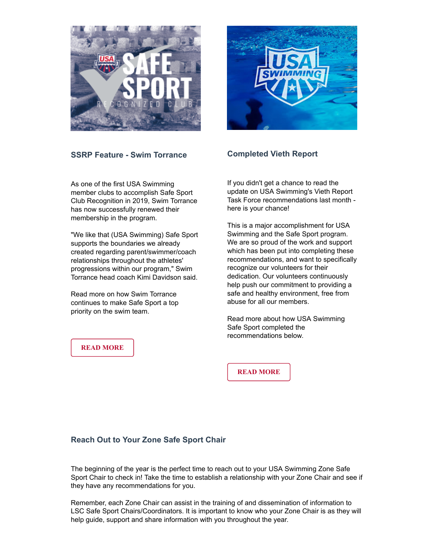



#### **SSRP Feature - Swim Torrance**

As one of the first USA Swimming member clubs to accomplish Safe Sport Club Recognition in 2019, Swim Torrance has now successfully renewed their membership in the program.

"We like that (USA Swimming) Safe Sport supports the boundaries we already created regarding parent/swimmer/coach relationships throughout the athletes' progressions within our program," Swim Torrance head coach Kimi Davidson said.

Read more on how Swim Torrance continues to make Safe Sport a top priority on the swim team.

#### **[READ MORE](http://pages.usaswimming.org/MjM2LUtDWi00OTUAAAGBz05kWt4F_Tlm2QoOVB-fIys3ntb_UJH8mnn77O5Ux83u-b9S_dhJA8u0RhdM6qgyLb9bosc=)**

**Completed Vieth Report**

If you didn't get a chance to read the update on USA Swimming's Vieth Report Task Force recommendations last month here is your chance!

This is a major accomplishment for USA Swimming and the Safe Sport program. We are so proud of the work and support which has been put into completing these recommendations, and want to specifically recognize our volunteers for their dedication. Our volunteers continuously help push our commitment to providing a safe and healthy environment, free from abuse for all our members.

Read more about how USA Swimming Safe Sport completed the recommendations below.

**[READ MORE](http://pages.usaswimming.org/MjM2LUtDWi00OTUAAAGBz05kW1zCH4refSQzOl7ITbQean85_ihSF3sJ7h9EubfU18au2cFF4olFk99gyHTKW4uw1XA=)**

#### **Reach Out to Your Zone Safe Sport Chair**

The beginning of the year is the perfect time to reach out to your USA Swimming Zone Safe Sport Chair to check in! Take the time to establish a relationship with your Zone Chair and see if they have any recommendations for you.

Remember, each Zone Chair can assist in the training of and dissemination of information to LSC Safe Sport Chairs/Coordinators. It is important to know who your Zone Chair is as they will help guide, support and share information with you throughout the year.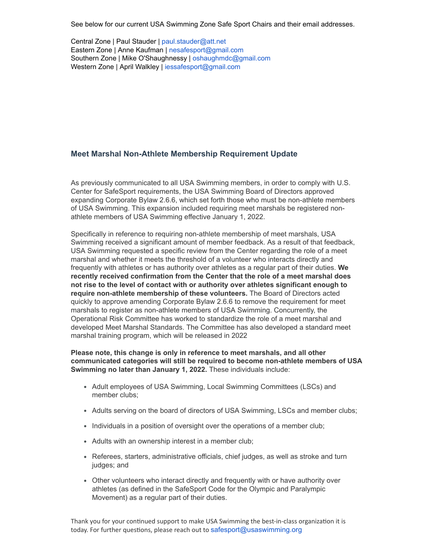See below for our current USA Swimming Zone Safe Sport Chairs and their email addresses.

Central Zone | Paul Stauder | [paul.stauder@att.net](http://pages.usaswimming.org/MjM2LUtDWi00OTUAAAGBz05kW_R5Yae405ZCfAYvd5Vh5C36ULFtTHtPUKPQBG17ezs6iTGy_6KkyG-fnMqZ32fi-rw=) Eastern Zone | Anne Kaufman | [nesafesport@gmail.com](http://pages.usaswimming.org/MjM2LUtDWi00OTUAAAGBz05kW7I63rOzaVg2dNwjTXBs8H4ryQ6v4vCTGioQnRg0o_k_bEpassrVLEwqkzNBvJKsxM4=) Southern Zone | Mike O'Shaughnessy | [oshaughmdc@gmail.com](http://pages.usaswimming.org/MjM2LUtDWi00OTUAAAGBz05kWqKICdEzdsiK02ItOhqdVKOna_HvbePkXjzrxmSmo43Bo0PpQQUmfYDJDSYBs_5NkFE=) Western Zone | April Walkley | [iessafesport@gmail.com](http://pages.usaswimming.org/MjM2LUtDWi00OTUAAAGBz05kW5PxJkP8ehmsr6K9Ue-wlxtoyxgu9OzKJXbxm-AjfNqIzWfAzn6rS9z9_5HTqHIRmqI=)

#### **Meet Marshal Non-Athlete Membership Requirement Update**

As previously communicated to all USA Swimming members, in order to comply with U.S. Center for SafeSport requirements, the USA Swimming Board of Directors approved expanding Corporate Bylaw 2.6.6, which set forth those who must be non-athlete members of USA Swimming. This expansion included requiring meet marshals be registered nonathlete members of USA Swimming effective January 1, 2022.

Specifically in reference to requiring non-athlete membership of meet marshals, USA Swimming received a significant amount of member feedback. As a result of that feedback, USA Swimming requested a specific review from the Center regarding the role of a meet marshal and whether it meets the threshold of a volunteer who interacts directly and frequently with athletes or has authority over athletes as a regular part of their duties. **We recently received confirmation from the Center that the role of a meet marshal does not rise to the level of contact with or authority over athletes significant enough to require non-athlete membership of these volunteers.** The Board of Directors acted quickly to approve amending Corporate Bylaw 2.6.6 to remove the requirement for meet marshals to register as non-athlete members of USA Swimming. Concurrently, the Operational Risk Committee has worked to standardize the role of a meet marshal and developed Meet Marshal Standards. The Committee has also developed a standard meet marshal training program, which will be released in 2022

#### **Please note, this change is only in reference to meet marshals, and all other communicated categories will still be required to become non-athlete members of USA Swimming no later than January 1, 2022.** These individuals include:

- Adult employees of USA Swimming, Local Swimming Committees (LSCs) and member clubs;
- Adults serving on the board of directors of USA Swimming, LSCs and member clubs;
- Individuals in a position of oversight over the operations of a member club;
- Adults with an ownership interest in a member club;
- Referees, starters, administrative officials, chief judges, as well as stroke and turn judges; and
- Other volunteers who interact directly and frequently with or have authority over athletes (as defined in the SafeSport Code for the Olympic and Paralympic Movement) as a regular part of their duties.

Thank you for your continued support to make USA Swimming the best-in-class organization it is today. For further questions, please reach out to [safesport@usaswimming.org](http://pages.usaswimming.org/MjM2LUtDWi00OTUAAAGBz05kWz50w9y5lTee3ehCWKaCfy3uv9o3b3uXzo9oH6lF5-qmWgEDjIetJVb0YuAoERycGkQ=)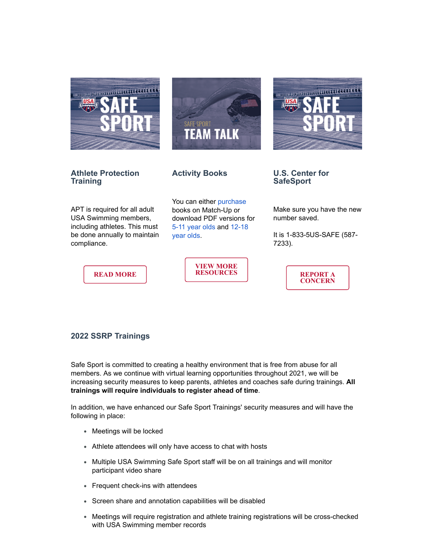





**Athlete Protection Training**

#### **Activity Books**

APT is required for all adult USA Swimming members, including athletes. This must be done annually to maintain compliance.

**[READ MORE](http://pages.usaswimming.org/MjM2LUtDWi00OTUAAAGBz05kW2YROEHQR8sNGkJVUVLPeDlsbP20FVy3RCJ4YFyQz2mNXqI_PokPiJwEFcWgU1nXtDU=)**

You can either [purchase](http://pages.usaswimming.org/MjM2LUtDWi00OTUAAAGBz05kWoW6FKGn0M_dP0CSGuyu-aBEUUpg00ko1ZtTreDcmiszZ2nAYysF2n0SUMLB5CMLkDU=) books on Match-Up or download PDF versions for [5-11 year old](http://pages.usaswimming.org/MjM2LUtDWi00OTUAAAGBz05kW-TmEp0XePf3YpsJhjdQl1zfJW8ZlN6CX1OCUaVlqHd4skU-fRKuX3A2drn_Aesbxzw=)[s and 12-18](http://pages.usaswimming.org/MjM2LUtDWi00OTUAAAGBz05kWiPU3AVCJILZFUkESgjZms33RKsAMgXVLAulG6budNnN8UUBBsZsABd5WRGdfVQhkF4=) year olds.

> **[VIEW MORE](http://pages.usaswimming.org/MjM2LUtDWi00OTUAAAGBz05kW1jPPREpQdW_I0dYNZH9Btgyc-8rxMhagxpbtYekFjzc0GMBYJUGyxGMLH9M56-tFLI=) RESOURCES**

**U.S. Center for SafeSport**

Make sure you have the new number saved.

It is 1-833-5US-SAFE (587- 7233).

> **[REPORT A](http://pages.usaswimming.org/MjM2LUtDWi00OTUAAAGBz05kW4C3pRXyRA9oVOliASV9kVs2PMBZNTXxhZjRUQKbQkDHng_YKWOFcX92qw49u2ihK0U=) CONCERN**

### **2022 SSRP Trainings**

Safe Sport is committed to creating a healthy environment that is free from abuse for all members. As we continue with virtual learning opportunities throughout 2021, we will be increasing security measures to keep parents, athletes and coaches safe during trainings. **All trainings will require individuals to register ahead of time**.

In addition, we have enhanced our Safe Sport Trainings' security measures and will have the following in place:

- Meetings will be locked
- Athlete attendees will only have access to chat with hosts
- Multiple USA Swimming Safe Sport staff will be on all trainings and will monitor participant video share
- Frequent check-ins with attendees
- Screen share and annotation capabilities will be disabled
- Meetings will require registration and athlete training registrations will be cross-checked with USA Swimming member records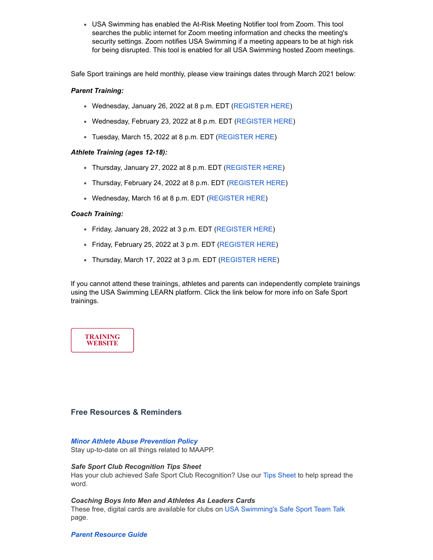USA Swimming has enabled the At-Risk Meeting Notifier tool from Zoom. This tool searches the public internet for Zoom meeting information and checks the meeting's security settings. Zoom notifies USA Swimming if a meeting appears to be at high risk for being disrupted. This tool is enabled for all USA Swimming hosted Zoom meetings.

Safe Sport trainings are held monthly, please view trainings dates through March 2021 below:

#### *Parent Training:*

- Wednesday, January 26, 2022 at 8 p.m. EDT ([REGISTER HERE](http://pages.usaswimming.org/MjM2LUtDWi00OTUAAAGBz05kWg62uCJbyqJATXAU_aoXbl3mSxsjy7iG4Oa5FaeX2pP65qgfK9R8TYBlVkojs3gAUbw=))
- Wednesday, February 23, 2022 at 8 p.m. EDT ([REGISTER HERE\)](http://pages.usaswimming.org/MjM2LUtDWi00OTUAAAGBz05kW20ScntLWNgU7vm7gJY7Fjp8eDGv0JQINdP3RKgotthgrBqD1Xr5e7afxXvnXNLys5Q=)
- Tuesday, March 15, 2022 at 8 p.m. EDT ([REGISTER HERE](http://pages.usaswimming.org/MjM2LUtDWi00OTUAAAGBz05kW805Rhux42u9CfqPbFZ4ECQMbodfzds5Ng1E4j2tJ4U4eJmELmnE3Y2vbjm40viHiLQ=))

#### *Athlete Training (ages 12-18):*

- Thursday, January 27, 2022 at 8 p.m. EDT ([REGISTER HERE\)](http://pages.usaswimming.org/MjM2LUtDWi00OTUAAAGBz05kWyrmPEGoj0ksm4DmR_Ae3_WopSGyYL8cR8FDOrTp9cd8SunNXiv3pzxlSfydYaWX-nQ=)
- Thursday, February 24, 2022 at 8 p.m. EDT ([REGISTER HERE\)](http://pages.usaswimming.org/MjM2LUtDWi00OTUAAAGBz05kWyA1NrAlgUepa_i8lh1fSEOjET8FYrzeV1ooAQ2dxFodg7y8KNcDp2szFQZSvBALDhw=)
- Wednesday, March 16 at 8 p.m. EDT ([REGISTER HERE\)](http://pages.usaswimming.org/MjM2LUtDWi00OTUAAAGBz05kWtA9WWv4I5iUkVF0gv3kjBS4Q-dp3RSrdIr7lfhj1ArFhdPWxMaCviq_iIcPs83UQTM=)

#### *Coach Training:*

- Friday, January 28, 2022 at 3 p.m. EDT ([REGISTER HERE\)](http://pages.usaswimming.org/MjM2LUtDWi00OTUAAAGBz05kW7n3ZYBUBGQA-T5AOd5MuZkFB2X4Upmtgjz5uYQTmpKWMvDHFf2buJFCJYMdh50_sjE=)
- Friday, February 25, 2022 at 3 p.m. EDT [\(REGISTER HERE\)](http://pages.usaswimming.org/MjM2LUtDWi00OTUAAAGBz05kWmlvWx-1le9fwEn3gItV5NF042usmq70S3IFVScG0epFCY43_WeP00mxYg97mAPUs1Y=)
- Thursday, March 17, 2022 at 3 p.m. EDT ([REGISTER HERE\)](http://pages.usaswimming.org/MjM2LUtDWi00OTUAAAGBz05kW9u79fDkH20vqFFfXFjxnqWuyKY3LH9p7UzIk9BKhXZEUiJcN1dvPH5PNUa7kCCn7yE=)

If you cannot attend these trainings, athletes and parents can independently complete trainings using the USA Swimming LEARN platform. Click the link below for more info on Safe Sport trainings.

### **[TRAINING](http://pages.usaswimming.org/MjM2LUtDWi00OTUAAAGBz05kW5xjkKeO8jfy4DZ-76NcJ3nrXBo9PIoOx1jAeGSaCZvLbGaV1k6zX0YqIwNQyhb8ugc=) WEBSITE**

#### **Free Resources & Reminders**

#### *[Minor Athlete Abuse Prevention Policy](http://pages.usaswimming.org/MjM2LUtDWi00OTUAAAGBz05kWoJefo705eDxKTi8XjI44W3CE-WgsFNt2tYRigRFn-gcfbxlq-HKLh7jka9gZ9TOgyc=)*

Stay up-to-date on all things related to MAAPP.

#### *Safe Sport Club Recognition Tips Sheet*

Has your club achieved Safe Sport Club Recognition? Use our [Tips Sheet](http://pages.usaswimming.org/MjM2LUtDWi00OTUAAAGBz05kW3_uUadWzPRjk18BLbnatklTYJKrztqoiunkN2JGmGx5Hci0yt4bq95OtqfqO8BEJR4=) to help spread the word.

#### *Coaching Boys Into Men and Athletes As Leaders Cards*

These free, digital cards are available for clubs on [USA Swimming's Safe Sport Team Talk](http://pages.usaswimming.org/MjM2LUtDWi00OTUAAAGBz05kW6McVgYPiVuy5_9R2f5JTEfYM_nJiHJyS5-a9cfVBbpgQOqEjQp7JPL9LPlh6-55LMI=) page.

#### *[Parent Resource Guide](http://pages.usaswimming.org/MjM2LUtDWi00OTUAAAGBz05kWwkLmxsqDD99R7H2L0NA8D4loK-CZyhse07HsIX6-kyByjMsdxsX-iBmXbeIjBY8Xho=)*